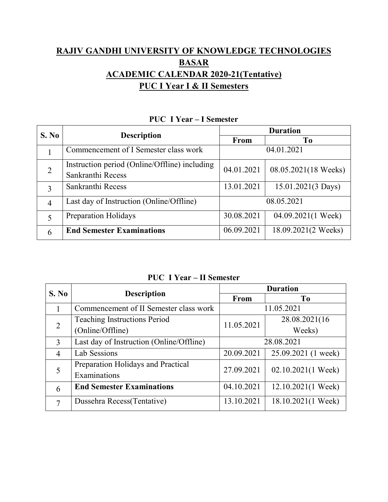## **RAJIV GANDHI UNIVERSITY OF KNOWLEDGE TECHNOLOGIES BASAR ACADEMIC CALENDAR 2020-21(Tentative) PUC I Year I & II Semesters**

| S. No          | <b>Description</b>                                                 | <b>Duration</b> |                      |  |
|----------------|--------------------------------------------------------------------|-----------------|----------------------|--|
|                |                                                                    | <b>From</b>     | T <sub>0</sub>       |  |
|                | Commencement of I Semester class work                              |                 | 04.01.2021           |  |
| $\overline{2}$ | Instruction period (Online/Offline) including<br>Sankranthi Recess | 04.01.2021      | 08.05.2021(18 Weeks) |  |
| 3              | Sankranthi Recess                                                  | 13.01.2021      | 15.01.2021(3 Days)   |  |
| $\overline{4}$ | Last day of Instruction (Online/Offline)                           |                 | 08.05.2021           |  |
|                | <b>Preparation Holidays</b>                                        | 30.08.2021      | 04.09.2021(1 Week)   |  |
| 6              | <b>End Semester Examinations</b>                                   | 06.09.2021      | 18.09.2021(2 Weeks)  |  |

## **PUC I Year – I Semester**

**PUC I Year – II Semester**

| S. No          | <b>Description</b>                       | <b>Duration</b> |                      |  |
|----------------|------------------------------------------|-----------------|----------------------|--|
|                |                                          | <b>From</b>     | T <sub>0</sub>       |  |
|                | Commencement of II Semester class work   |                 | 11.05.2021           |  |
| 2              | <b>Teaching Instructions Period</b>      | 11.05.2021      | 28.08.2021(16)       |  |
|                | (Online/Offline)                         |                 | Weeks)               |  |
| 3              | Last day of Instruction (Online/Offline) | 28.08.2021      |                      |  |
| $\overline{4}$ | Lab Sessions                             | 20.09.2021      | 25.09.2021 (1 week)  |  |
| 5              | Preparation Holidays and Practical       | 27.09.2021      | $02.10.2021(1$ Week) |  |
|                | Examinations                             |                 |                      |  |
| 6              | <b>End Semester Examinations</b>         | 04.10.2021      | 12.10.2021(1 Week)   |  |
| 7              | Dussehra Recess(Tentative)               | 13.10.2021      | 18.10.2021(1 Week)   |  |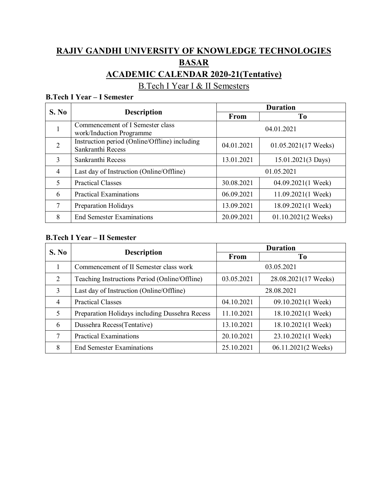# **RAJIV GANDHI UNIVERSITY OF KNOWLEDGE TECHNOLOGIES BASAR ACADEMIC CALENDAR 2020-21(Tentative)**

B.Tech I Year I & II Semesters

#### **B.Tech I Year – I Semester**

| S. No          | <b>Description</b>                                                 | <b>Duration</b> |                               |  |
|----------------|--------------------------------------------------------------------|-----------------|-------------------------------|--|
|                |                                                                    | From            | T <sub>0</sub>                |  |
| 1              | Commencement of I Semester class<br>work/Induction Programme       |                 | 04.01.2021                    |  |
| $\overline{2}$ | Instruction period (Online/Offline) including<br>Sankranthi Recess | 04.01.2021      | $01.05.2021(17$ Weeks)        |  |
| 3              | Sankranthi Recess                                                  | 13.01.2021      | 15.01.2021(3 Days)            |  |
| $\overline{4}$ | Last day of Instruction (Online/Offline)                           |                 | 01.05.2021                    |  |
| 5              | <b>Practical Classes</b>                                           | 30.08.2021      | 04.09.2021(1 Week)            |  |
| 6              | <b>Practical Examinations</b>                                      | 06.09.2021      | $11.09.2021(1$ Week)          |  |
| 7              | Preparation Holidays                                               | 13.09.2021      | 18.09.2021(1 Week)            |  |
| 8              | <b>End Semester Examinations</b>                                   | 20.09.2021      | $01.10.2021(2 \text{ weeks})$ |  |

#### **B.Tech I Year – II Semester**

| S. No          | <b>Description</b>                             | <b>Duration</b> |                      |  |
|----------------|------------------------------------------------|-----------------|----------------------|--|
|                |                                                | From            | T <sub>0</sub>       |  |
|                | Commencement of II Semester class work         |                 | 03.05.2021           |  |
| $\overline{2}$ | Teaching Instructions Period (Online/Offline)  | 03.05.2021      | 28.08.2021(17 Weeks) |  |
| $\overline{3}$ | Last day of Instruction (Online/Offline)       | 28.08.2021      |                      |  |
| $\overline{4}$ | <b>Practical Classes</b>                       | 04.10.2021      | 09.10.2021(1 Week)   |  |
| 5              | Preparation Holidays including Dussehra Recess | 11.10.2021      | 18.10.2021(1 Week)   |  |
| 6              | Dussehra Recess(Tentative)                     | 13.10.2021      | 18.10.2021(1 Week)   |  |
| 7              | <b>Practical Examinations</b>                  | 20.10.2021      | 23.10.2021(1 Week)   |  |
| 8              | <b>End Semester Examinations</b>               | 25.10.2021      | 06.11.2021(2 Weeks)  |  |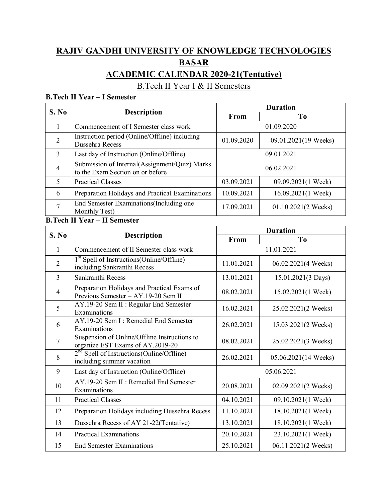# **RAJIV GANDHI UNIVERSITY OF KNOWLEDGE TECHNOLOGIES BASAR ACADEMIC CALENDAR 2020-21(Tentative)**

B.Tech II Year I & II Semesters

#### **B.Tech II Year – I Semester**

|                | <b>Description</b>                                                                | <b>Duration</b> |                               |  |
|----------------|-----------------------------------------------------------------------------------|-----------------|-------------------------------|--|
| S. No          |                                                                                   | From            | T <sub>0</sub>                |  |
|                | Commencement of I Semester class work                                             |                 | 01.09.2020                    |  |
| $\overline{2}$ | Instruction period (Online/Offline) including<br>Dussehra Recess                  | 01.09.2020      | 09.01.2021(19 Weeks)          |  |
| 3              | Last day of Instruction (Online/Offline)                                          | 09.01.2021      |                               |  |
| $\overline{4}$ | Submission of Internal(Assignment/Quiz) Marks<br>to the Exam Section on or before | 06.02.2021      |                               |  |
| 5              | <b>Practical Classes</b>                                                          | 03.09.2021      | 09.09.2021(1 Week)            |  |
| 6              | Preparation Holidays and Practical Examinations                                   | 10.09.2021      | $16.09.2021(1$ Week)          |  |
| 7              | End Semester Examinations (Including one<br>Monthly Test)                         | 17.09.2021      | $01.10.2021(2 \text{ weeks})$ |  |

#### **B.Tech II Year – II Semester**

| S. No          |                                                                                      | <b>Duration</b> |                      |  |
|----------------|--------------------------------------------------------------------------------------|-----------------|----------------------|--|
|                | <b>Description</b>                                                                   | From            | T <sub>0</sub>       |  |
| $\mathbf{1}$   | Commencement of II Semester class work                                               |                 | 11.01.2021           |  |
| $\overline{2}$ | 1 <sup>st</sup> Spell of Instructions(Online/Offline)<br>including Sankranthi Recess | 11.01.2021      | 06.02.2021(4 Weeks)  |  |
| $\overline{3}$ | Sankranthi Recess                                                                    | 13.01.2021      | 15.01.2021(3 Days)   |  |
| $\overline{4}$ | Preparation Holidays and Practical Exams of<br>Previous Semester - AY.19-20 Sem II   | 08.02.2021      | 15.02.2021(1 Week)   |  |
| 5              | AY.19-20 Sem II : Regular End Semester<br>Examinations                               | 16.02.2021      | 25.02.2021(2 Weeks)  |  |
| 6              | AY.19-20 Sem I: Remedial End Semester<br>Examinations                                | 26.02.2021      | 15.03.2021(2 Weeks)  |  |
| $\overline{7}$ | Suspension of Online/Offline Instructions to<br>organize EST Exams of AY.2019-20     | 08.02.2021      | 25.02.2021(3 Weeks)  |  |
| 8              | 2 <sup>nd</sup> Spell of Instructions(Online/Offline)<br>including summer vacation   | 26.02.2021      | 05.06.2021(14 Weeks) |  |
| 9              | Last day of Instruction (Online/Offline)                                             |                 | 05.06.2021           |  |
| 10             | AY.19-20 Sem II : Remedial End Semester<br>Examinations                              | 20.08.2021      | 02.09.2021(2 Weeks)  |  |
| 11             | <b>Practical Classes</b>                                                             | 04.10.2021      | 09.10.2021(1 Week)   |  |
| 12             | Preparation Holidays including Dussehra Recess                                       | 11.10.2021      | 18.10.2021(1 Week)   |  |
| 13             | Dussehra Recess of AY 21-22(Tentative)                                               | 13.10.2021      | 18.10.2021(1 Week)   |  |
| 14             | <b>Practical Examinations</b>                                                        | 20.10.2021      | 23.10.2021(1 Week)   |  |
| 15             | <b>End Semester Examinations</b>                                                     | 25.10.2021      | 06.11.2021(2 Weeks)  |  |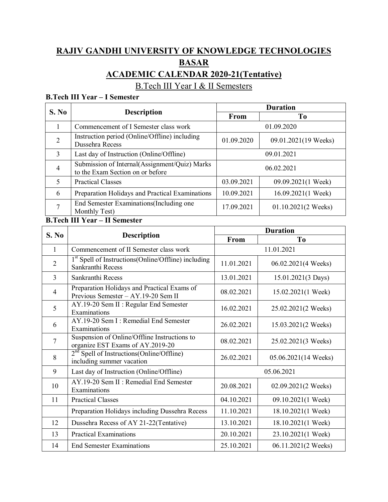# **RAJIV GANDHI UNIVERSITY OF KNOWLEDGE TECHNOLOGIES BASAR ACADEMIC CALENDAR 2020-21(Tentative)**

B.Tech III Year I & II Semesters

#### **B.Tech III Year – I Semester**

| S. No          | <b>Description</b>                                                                | <b>Duration</b> |                               |  |
|----------------|-----------------------------------------------------------------------------------|-----------------|-------------------------------|--|
|                |                                                                                   | From            | <b>To</b>                     |  |
|                | Commencement of I Semester class work                                             |                 | 01.09.2020                    |  |
| $\overline{2}$ | Instruction period (Online/Offline) including<br>Dussehra Recess                  | 01.09.2020      | 09.01.2021(19 Weeks)          |  |
| 3              | Last day of Instruction (Online/Offline)                                          | 09.01.2021      |                               |  |
| $\overline{4}$ | Submission of Internal(Assignment/Quiz) Marks<br>to the Exam Section on or before | 06.02.2021      |                               |  |
| 5              | <b>Practical Classes</b>                                                          | 03.09.2021      | 09.09.2021(1 Week)            |  |
| 6              | Preparation Holidays and Practical Examinations                                   | 10.09.2021      | $16.09.2021(1$ Week)          |  |
| ⇁              | End Semester Examinations (Including one<br>Monthly Test)                         | 17.09.2021      | $01.10.2021(2 \text{ weeks})$ |  |

### **B.Tech III Year – II Semester**

| S. No          | <b>Description</b>                                                                 | <b>Duration</b> |                      |  |
|----------------|------------------------------------------------------------------------------------|-----------------|----------------------|--|
|                |                                                                                    | From            | To                   |  |
| $\mathbf{1}$   | Commencement of II Semester class work                                             |                 | 11.01.2021           |  |
| $\overline{2}$ | $1st$ Spell of Instructions (Online/Offline) including<br>Sankranthi Recess        | 11.01.2021      | 06.02.2021(4 Weeks)  |  |
| $\overline{3}$ | Sankranthi Recess                                                                  | 13.01.2021      | 15.01.2021(3 Days)   |  |
| $\overline{4}$ | Preparation Holidays and Practical Exams of<br>Previous Semester - AY.19-20 Sem II | 08.02.2021      | 15.02.2021(1 Week)   |  |
| 5              | AY.19-20 Sem II: Regular End Semester<br>Examinations                              | 16.02.2021      | 25.02.2021(2 Weeks)  |  |
| 6              | AY.19-20 Sem I: Remedial End Semester<br>Examinations                              | 26.02.2021      | 15.03.2021(2 Weeks)  |  |
| $\overline{7}$ | Suspension of Online/Offline Instructions to<br>organize EST Exams of AY.2019-20   | 08.02.2021      | 25.02.2021(3 Weeks)  |  |
| 8              | $2nd$ Spell of Instructions(Online/Offline)<br>including summer vacation           | 26.02.2021      | 05.06.2021(14 Weeks) |  |
| 9              | Last day of Instruction (Online/Offline)                                           |                 | 05.06.2021           |  |
| 10             | AY.19-20 Sem II : Remedial End Semester<br>Examinations                            | 20.08.2021      | 02.09.2021(2 Weeks)  |  |
| 11             | <b>Practical Classes</b>                                                           | 04.10.2021      | 09.10.2021(1 Week)   |  |
|                | Preparation Holidays including Dussehra Recess                                     | 11.10.2021      | 18.10.2021(1 Week)   |  |
| 12             | Dussehra Recess of AY 21-22(Tentative)                                             | 13.10.2021      | 18.10.2021(1 Week)   |  |
| 13             | <b>Practical Examinations</b>                                                      | 20.10.2021      | 23.10.2021(1 Week)   |  |
| 14             | <b>End Semester Examinations</b>                                                   | 25.10.2021      | 06.11.2021(2 Weeks)  |  |